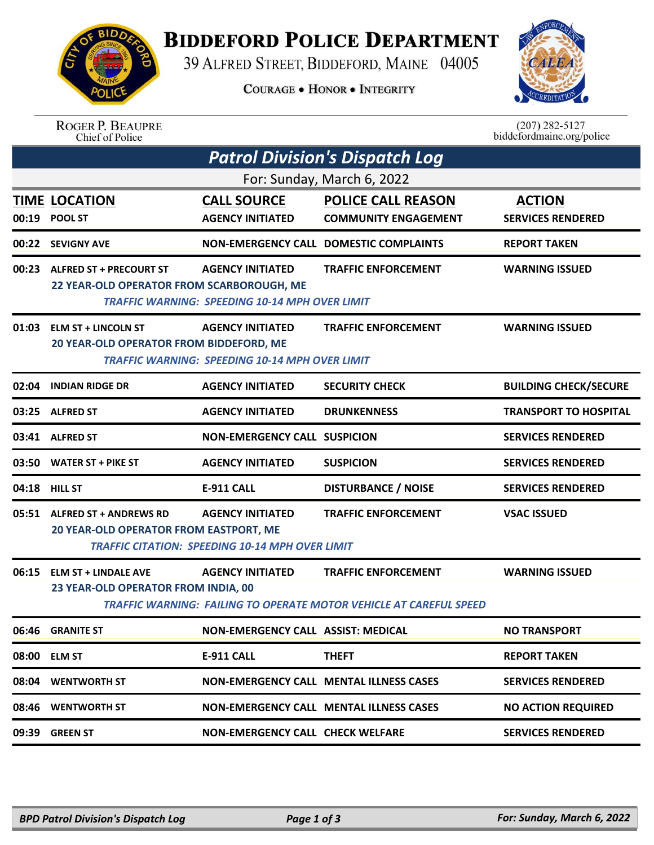

## **BIDDEFORD POLICE DEPARTMENT**

39 ALFRED STREET, BIDDEFORD, MAINE 04005

**COURAGE . HONOR . INTEGRITY** 



ROGER P. BEAUPRE<br>Chief of Police

 $(207)$  282-5127<br>biddefordmaine.org/police

| <b>Patrol Division's Dispatch Log</b> |                                                                               |                                                                                   |                                                                                                         |                                           |  |  |  |  |
|---------------------------------------|-------------------------------------------------------------------------------|-----------------------------------------------------------------------------------|---------------------------------------------------------------------------------------------------------|-------------------------------------------|--|--|--|--|
| For: Sunday, March 6, 2022            |                                                                               |                                                                                   |                                                                                                         |                                           |  |  |  |  |
| 00:19                                 | <b>TIME LOCATION</b><br><b>POOL ST</b>                                        | <b>CALL SOURCE</b><br><b>AGENCY INITIATED</b>                                     | <b>POLICE CALL REASON</b><br><b>COMMUNITY ENGAGEMENT</b>                                                | <b>ACTION</b><br><b>SERVICES RENDERED</b> |  |  |  |  |
|                                       | 00:22 SEVIGNY AVE                                                             |                                                                                   | NON-EMERGENCY CALL DOMESTIC COMPLAINTS                                                                  | <b>REPORT TAKEN</b>                       |  |  |  |  |
| 00:23                                 | <b>ALFRED ST + PRECOURT ST</b><br>22 YEAR-OLD OPERATOR FROM SCARBOROUGH, ME   | <b>AGENCY INITIATED</b><br><b>TRAFFIC WARNING: SPEEDING 10-14 MPH OVER LIMIT</b>  | <b>TRAFFIC ENFORCEMENT</b>                                                                              | <b>WARNING ISSUED</b>                     |  |  |  |  |
| 01:03                                 | <b>ELM ST + LINCOLN ST</b><br>20 YEAR-OLD OPERATOR FROM BIDDEFORD, ME         | <b>AGENCY INITIATED</b><br><b>TRAFFIC WARNING: SPEEDING 10-14 MPH OVER LIMIT</b>  | <b>TRAFFIC ENFORCEMENT</b>                                                                              | <b>WARNING ISSUED</b>                     |  |  |  |  |
| 02:04                                 | <b>INDIAN RIDGE DR</b>                                                        | <b>AGENCY INITIATED</b>                                                           | <b>SECURITY CHECK</b>                                                                                   | <b>BUILDING CHECK/SECURE</b>              |  |  |  |  |
|                                       | 03:25 ALFRED ST                                                               | <b>AGENCY INITIATED</b>                                                           | <b>DRUNKENNESS</b>                                                                                      | <b>TRANSPORT TO HOSPITAL</b>              |  |  |  |  |
|                                       | 03:41 ALFRED ST                                                               | <b>NON-EMERGENCY CALL SUSPICION</b>                                               |                                                                                                         | <b>SERVICES RENDERED</b>                  |  |  |  |  |
|                                       | 03:50 WATER ST + PIKE ST                                                      | <b>AGENCY INITIATED</b>                                                           | <b>SUSPICION</b>                                                                                        | <b>SERVICES RENDERED</b>                  |  |  |  |  |
|                                       | 04:18 HILL ST                                                                 | <b>E-911 CALL</b>                                                                 | <b>DISTURBANCE / NOISE</b>                                                                              | <b>SERVICES RENDERED</b>                  |  |  |  |  |
|                                       | 05:51 ALFRED ST + ANDREWS RD<br><b>20 YEAR-OLD OPERATOR FROM EASTPORT, ME</b> | <b>AGENCY INITIATED</b><br><b>TRAFFIC CITATION: SPEEDING 10-14 MPH OVER LIMIT</b> | <b>TRAFFIC ENFORCEMENT</b>                                                                              | <b>VSAC ISSUED</b>                        |  |  |  |  |
|                                       | 06:15 ELM ST + LINDALE AVE<br>23 YEAR-OLD OPERATOR FROM INDIA, 00             | <b>AGENCY INITIATED</b>                                                           | <b>TRAFFIC ENFORCEMENT</b><br><b>TRAFFIC WARNING: FAILING TO OPERATE MOTOR VEHICLE AT CAREFUL SPEED</b> | <b>WARNING ISSUED</b>                     |  |  |  |  |
|                                       | 06:46 GRANITE ST                                                              | NON-EMERGENCY CALL ASSIST: MEDICAL                                                |                                                                                                         | <b>NO TRANSPORT</b>                       |  |  |  |  |
|                                       | 08:00 ELM ST                                                                  | <b>E-911 CALL</b>                                                                 | <b>THEFT</b>                                                                                            | <b>REPORT TAKEN</b>                       |  |  |  |  |
|                                       | 08:04 WENTWORTH ST                                                            |                                                                                   | <b>NON-EMERGENCY CALL MENTAL ILLNESS CASES</b>                                                          | <b>SERVICES RENDERED</b>                  |  |  |  |  |
|                                       | 08:46 WENTWORTH ST                                                            |                                                                                   | <b>NON-EMERGENCY CALL MENTAL ILLNESS CASES</b>                                                          | <b>NO ACTION REQUIRED</b>                 |  |  |  |  |
| 09:39                                 | <b>GREEN ST</b>                                                               | <b>NON-EMERGENCY CALL CHECK WELFARE</b>                                           |                                                                                                         | <b>SERVICES RENDERED</b>                  |  |  |  |  |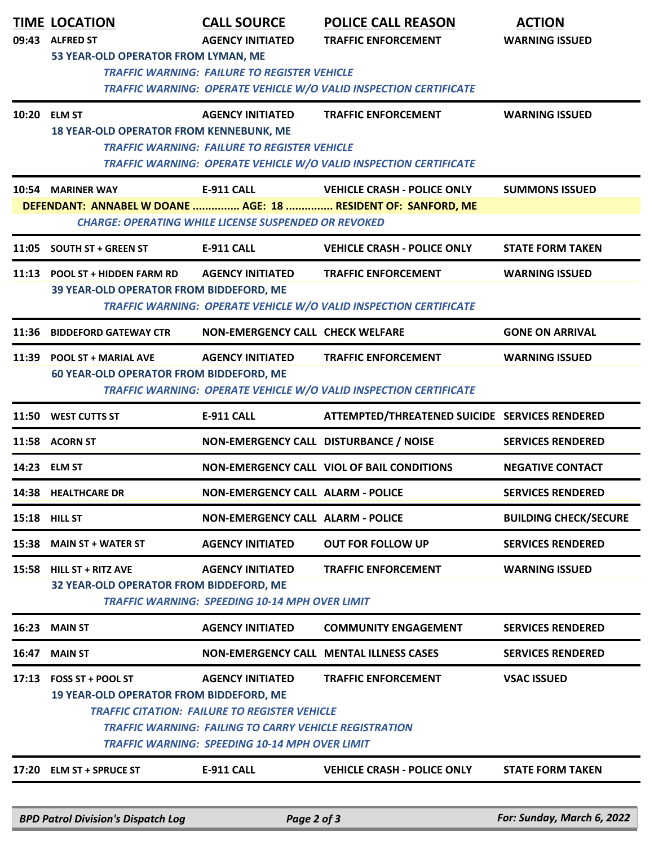|                                                      | <b>TIME LOCATION</b>                                                                                                         | <b>CALL SOURCE</b>                                    | <b>POLICE CALL REASON</b>                                                | <b>ACTION</b>                |  |  |  |  |  |
|------------------------------------------------------|------------------------------------------------------------------------------------------------------------------------------|-------------------------------------------------------|--------------------------------------------------------------------------|------------------------------|--|--|--|--|--|
| 09:43                                                | <b>ALFRED ST</b>                                                                                                             | <b>AGENCY INITIATED</b>                               | <b>TRAFFIC ENFORCEMENT</b>                                               | <b>WARNING ISSUED</b>        |  |  |  |  |  |
|                                                      | 53 YEAR-OLD OPERATOR FROM LYMAN, ME<br><b>TRAFFIC WARNING: FAILURE TO REGISTER VEHICLE</b>                                   |                                                       |                                                                          |                              |  |  |  |  |  |
|                                                      | TRAFFIC WARNING: OPERATE VEHICLE W/O VALID INSPECTION CERTIFICATE                                                            |                                                       |                                                                          |                              |  |  |  |  |  |
|                                                      | 10:20 ELM ST                                                                                                                 | <b>AGENCY INITIATED</b>                               | <b>TRAFFIC ENFORCEMENT</b>                                               | <b>WARNING ISSUED</b>        |  |  |  |  |  |
|                                                      | <b>18 YEAR-OLD OPERATOR FROM KENNEBUNK, ME</b>                                                                               |                                                       |                                                                          |                              |  |  |  |  |  |
|                                                      |                                                                                                                              | <b>TRAFFIC WARNING: FAILURE TO REGISTER VEHICLE</b>   |                                                                          |                              |  |  |  |  |  |
|                                                      |                                                                                                                              |                                                       | <b>TRAFFIC WARNING: OPERATE VEHICLE W/O VALID INSPECTION CERTIFICATE</b> |                              |  |  |  |  |  |
|                                                      | 10:54 MARINER WAY                                                                                                            | E-911 CALL                                            | <b>VEHICLE CRASH - POLICE ONLY</b>                                       | <b>SUMMONS ISSUED</b>        |  |  |  |  |  |
|                                                      | DEFENDANT: ANNABEL W DOANE  AGE: 18  RESIDENT OF: SANFORD, ME<br><b>CHARGE: OPERATING WHILE LICENSE SUSPENDED OR REVOKED</b> |                                                       |                                                                          |                              |  |  |  |  |  |
|                                                      |                                                                                                                              |                                                       |                                                                          |                              |  |  |  |  |  |
|                                                      | 11:05 SOUTH ST + GREEN ST                                                                                                    | <b>E-911 CALL</b>                                     | <b>VEHICLE CRASH - POLICE ONLY</b>                                       | <b>STATE FORM TAKEN</b>      |  |  |  |  |  |
|                                                      | 11:13 POOL ST + HIDDEN FARM RD                                                                                               | <b>AGENCY INITIATED</b>                               | <b>TRAFFIC ENFORCEMENT</b>                                               | <b>WARNING ISSUED</b>        |  |  |  |  |  |
|                                                      | 39 YEAR-OLD OPERATOR FROM BIDDEFORD, ME                                                                                      |                                                       |                                                                          |                              |  |  |  |  |  |
|                                                      |                                                                                                                              |                                                       | TRAFFIC WARNING: OPERATE VEHICLE W/O VALID INSPECTION CERTIFICATE        |                              |  |  |  |  |  |
| 11:36                                                | <b>BIDDEFORD GATEWAY CTR</b>                                                                                                 | <b>NON-EMERGENCY CALL CHECK WELFARE</b>               |                                                                          | <b>GONE ON ARRIVAL</b>       |  |  |  |  |  |
| 11:39                                                | <b>POOL ST + MARIAL AVE</b>                                                                                                  | <b>AGENCY INITIATED</b>                               | <b>TRAFFIC ENFORCEMENT</b>                                               | <b>WARNING ISSUED</b>        |  |  |  |  |  |
|                                                      | <b>60 YEAR-OLD OPERATOR FROM BIDDEFORD, ME</b>                                                                               |                                                       |                                                                          |                              |  |  |  |  |  |
|                                                      |                                                                                                                              |                                                       | TRAFFIC WARNING: OPERATE VEHICLE W/O VALID INSPECTION CERTIFICATE        |                              |  |  |  |  |  |
| 11:50                                                | <b>WEST CUTTS ST</b>                                                                                                         | <b>E-911 CALL</b>                                     | ATTEMPTED/THREATENED SUICIDE SERVICES RENDERED                           |                              |  |  |  |  |  |
|                                                      | 11:58 ACORN ST                                                                                                               | NON-EMERGENCY CALL DISTURBANCE / NOISE                |                                                                          | <b>SERVICES RENDERED</b>     |  |  |  |  |  |
|                                                      | 14:23 ELM ST                                                                                                                 |                                                       | <b>NON-EMERGENCY CALL VIOL OF BAIL CONDITIONS</b>                        | <b>NEGATIVE CONTACT</b>      |  |  |  |  |  |
|                                                      | 14:38 HEALTHCARE DR                                                                                                          | NON-EMERGENCY CALL ALARM - POLICE                     |                                                                          | <b>SERVICES RENDERED</b>     |  |  |  |  |  |
| 15:18                                                | <b>HILL ST</b>                                                                                                               | <b>NON-EMERGENCY CALL ALARM - POLICE</b>              |                                                                          | <b>BUILDING CHECK/SECURE</b> |  |  |  |  |  |
| 15:38                                                | <b>MAIN ST + WATER ST</b>                                                                                                    | <b>AGENCY INITIATED</b>                               | <b>OUT FOR FOLLOW UP</b>                                                 | <b>SERVICES RENDERED</b>     |  |  |  |  |  |
| 15:58                                                | <b>HILL ST + RITZ AVE</b>                                                                                                    | <b>AGENCY INITIATED</b>                               | <b>TRAFFIC ENFORCEMENT</b>                                               | <b>WARNING ISSUED</b>        |  |  |  |  |  |
|                                                      | 32 YEAR-OLD OPERATOR FROM BIDDEFORD, ME                                                                                      |                                                       |                                                                          |                              |  |  |  |  |  |
|                                                      |                                                                                                                              | <b>TRAFFIC WARNING: SPEEDING 10-14 MPH OVER LIMIT</b> |                                                                          |                              |  |  |  |  |  |
| 16:23                                                | <b>MAIN ST</b>                                                                                                               | <b>AGENCY INITIATED</b>                               | <b>COMMUNITY ENGAGEMENT</b>                                              | <b>SERVICES RENDERED</b>     |  |  |  |  |  |
| 16:47                                                | <b>MAIN ST</b>                                                                                                               |                                                       | <b>NON-EMERGENCY CALL MENTAL ILLNESS CASES</b>                           | <b>SERVICES RENDERED</b>     |  |  |  |  |  |
| 17:13                                                | <b>FOSS ST + POOL ST</b>                                                                                                     | <b>AGENCY INITIATED</b>                               | <b>TRAFFIC ENFORCEMENT</b>                                               | <b>VSAC ISSUED</b>           |  |  |  |  |  |
|                                                      | 19 YEAR-OLD OPERATOR FROM BIDDEFORD, ME                                                                                      |                                                       |                                                                          |                              |  |  |  |  |  |
| <b>TRAFFIC CITATION: FAILURE TO REGISTER VEHICLE</b> |                                                                                                                              |                                                       |                                                                          |                              |  |  |  |  |  |
|                                                      | <b>TRAFFIC WARNING: FAILING TO CARRY VEHICLE REGISTRATION</b><br><b>TRAFFIC WARNING: SPEEDING 10-14 MPH OVER LIMIT</b>       |                                                       |                                                                          |                              |  |  |  |  |  |
|                                                      |                                                                                                                              |                                                       |                                                                          |                              |  |  |  |  |  |
| 17:20                                                | <b>ELM ST + SPRUCE ST</b>                                                                                                    | <b>E-911 CALL</b>                                     | <b>VEHICLE CRASH - POLICE ONLY</b>                                       | <b>STATE FORM TAKEN</b>      |  |  |  |  |  |
|                                                      |                                                                                                                              |                                                       |                                                                          |                              |  |  |  |  |  |
|                                                      | <b>BPD Patrol Division's Dispatch Log</b>                                                                                    | Page 2 of 3                                           |                                                                          | For: Sunday, March 6, 2022   |  |  |  |  |  |